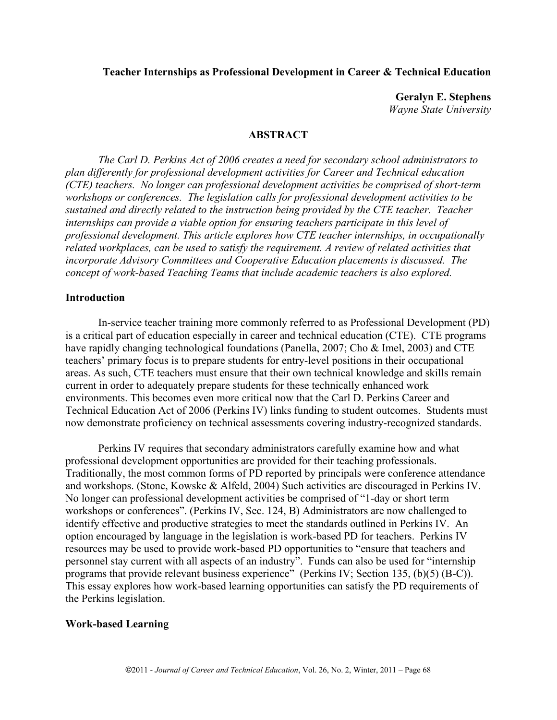### **Teacher Internships as Professional Development in Career & Technical Education**

**Geralyn E. Stephens** *Wayne State University*

#### **ABSTRACT**

*The Carl D. Perkins Act of 2006 creates a need for secondary school administrators to plan differently for professional development activities for Career and Technical education (CTE) teachers. No longer can professional development activities be comprised of short-term workshops or conferences. The legislation calls for professional development activities to be sustained and directly related to the instruction being provided by the CTE teacher. Teacher internships can provide a viable option for ensuring teachers participate in this level of professional development. This article explores how CTE teacher internships, in occupationally related workplaces, can be used to satisfy the requirement. A review of related activities that incorporate Advisory Committees and Cooperative Education placements is discussed. The concept of work-based Teaching Teams that include academic teachers is also explored.* 

#### **Introduction**

In-service teacher training more commonly referred to as Professional Development (PD) is a critical part of education especially in career and technical education (CTE). CTE programs have rapidly changing technological foundations (Panella, 2007; Cho & Imel, 2003) and CTE teachers' primary focus is to prepare students for entry-level positions in their occupational areas. As such, CTE teachers must ensure that their own technical knowledge and skills remain current in order to adequately prepare students for these technically enhanced work environments. This becomes even more critical now that the Carl D. Perkins Career and Technical Education Act of 2006 (Perkins IV) links funding to student outcomes. Students must now demonstrate proficiency on technical assessments covering industry-recognized standards.

Perkins IV requires that secondary administrators carefully examine how and what professional development opportunities are provided for their teaching professionals. Traditionally, the most common forms of PD reported by principals were conference attendance and workshops. (Stone, Kowske & Alfeld, 2004) Such activities are discouraged in Perkins IV. No longer can professional development activities be comprised of "1-day or short term workshops or conferences". (Perkins IV, Sec. 124, B) Administrators are now challenged to identify effective and productive strategies to meet the standards outlined in Perkins IV. An option encouraged by language in the legislation is work-based PD for teachers. Perkins IV resources may be used to provide work-based PD opportunities to "ensure that teachers and personnel stay current with all aspects of an industry". Funds can also be used for "internship programs that provide relevant business experience" (Perkins IV; Section 135, (b)(5) (B-C)). This essay explores how work-based learning opportunities can satisfy the PD requirements of the Perkins legislation.

#### **Work-based Learning**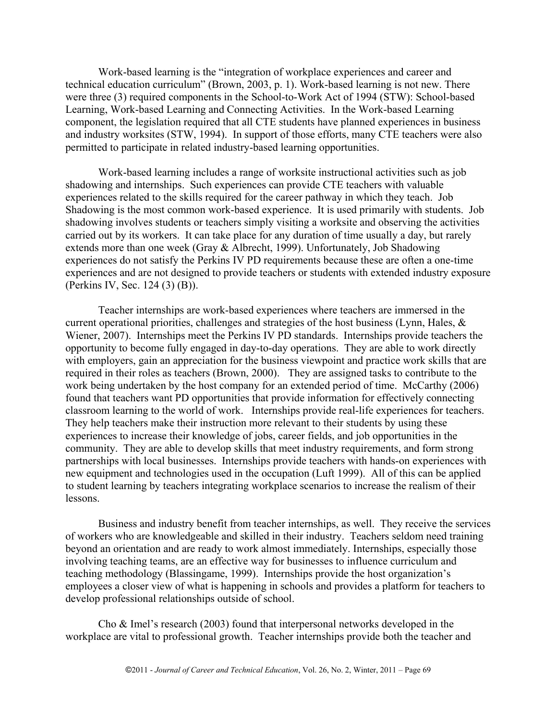Work-based learning is the "integration of workplace experiences and career and technical education curriculum" (Brown, 2003, p. 1). Work-based learning is not new. There were three (3) required components in the School-to-Work Act of 1994 (STW): School-based Learning, Work-based Learning and Connecting Activities. In the Work-based Learning component, the legislation required that all CTE students have planned experiences in business and industry worksites (STW, 1994). In support of those efforts, many CTE teachers were also permitted to participate in related industry-based learning opportunities.

Work-based learning includes a range of worksite instructional activities such as job shadowing and internships. Such experiences can provide CTE teachers with valuable experiences related to the skills required for the career pathway in which they teach. Job Shadowing is the most common work-based experience. It is used primarily with students. Job shadowing involves students or teachers simply visiting a worksite and observing the activities carried out by its workers. It can take place for any duration of time usually a day, but rarely extends more than one week (Gray & Albrecht, 1999). Unfortunately, Job Shadowing experiences do not satisfy the Perkins IV PD requirements because these are often a one-time experiences and are not designed to provide teachers or students with extended industry exposure (Perkins IV, Sec. 124 (3) (B)).

Teacher internships are work-based experiences where teachers are immersed in the current operational priorities, challenges and strategies of the host business (Lynn, Hales, & Wiener, 2007). Internships meet the Perkins IV PD standards. Internships provide teachers the opportunity to become fully engaged in day-to-day operations. They are able to work directly with employers, gain an appreciation for the business viewpoint and practice work skills that are required in their roles as teachers (Brown, 2000). They are assigned tasks to contribute to the work being undertaken by the host company for an extended period of time. McCarthy (2006) found that teachers want PD opportunities that provide information for effectively connecting classroom learning to the world of work. Internships provide real-life experiences for teachers. They help teachers make their instruction more relevant to their students by using these experiences to increase their knowledge of jobs, career fields, and job opportunities in the community. They are able to develop skills that meet industry requirements, and form strong partnerships with local businesses. Internships provide teachers with hands-on experiences with new equipment and technologies used in the occupation (Luft 1999). All of this can be applied to student learning by teachers integrating workplace scenarios to increase the realism of their lessons.

Business and industry benefit from teacher internships, as well. They receive the services of workers who are knowledgeable and skilled in their industry. Teachers seldom need training beyond an orientation and are ready to work almost immediately. Internships, especially those involving teaching teams, are an effective way for businesses to influence curriculum and teaching methodology (Blassingame, 1999). Internships provide the host organization's employees a closer view of what is happening in schools and provides a platform for teachers to develop professional relationships outside of school.

Cho & Imel's research (2003) found that interpersonal networks developed in the workplace are vital to professional growth. Teacher internships provide both the teacher and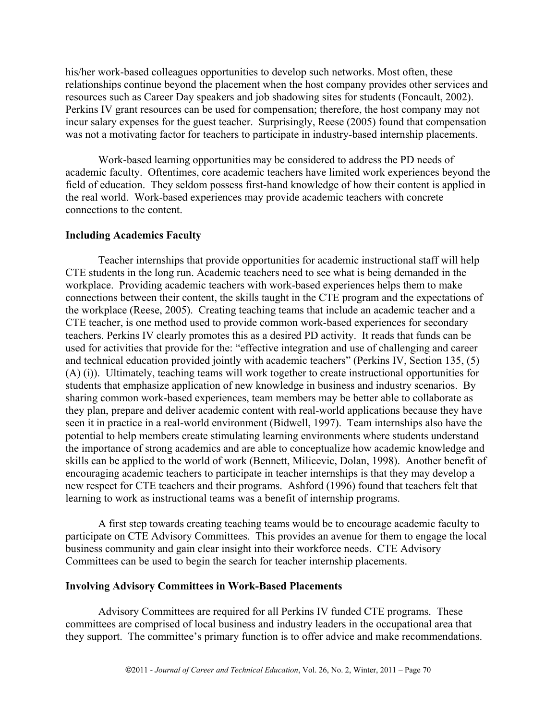his/her work-based colleagues opportunities to develop such networks. Most often, these relationships continue beyond the placement when the host company provides other services and resources such as Career Day speakers and job shadowing sites for students (Foncault, 2002). Perkins IV grant resources can be used for compensation; therefore, the host company may not incur salary expenses for the guest teacher. Surprisingly, Reese (2005) found that compensation was not a motivating factor for teachers to participate in industry-based internship placements.

Work-based learning opportunities may be considered to address the PD needs of academic faculty. Oftentimes, core academic teachers have limited work experiences beyond the field of education. They seldom possess first-hand knowledge of how their content is applied in the real world. Work-based experiences may provide academic teachers with concrete connections to the content.

#### **Including Academics Faculty**

Teacher internships that provide opportunities for academic instructional staff will help CTE students in the long run. Academic teachers need to see what is being demanded in the workplace. Providing academic teachers with work-based experiences helps them to make connections between their content, the skills taught in the CTE program and the expectations of the workplace (Reese, 2005). Creating teaching teams that include an academic teacher and a CTE teacher, is one method used to provide common work-based experiences for secondary teachers. Perkins IV clearly promotes this as a desired PD activity. It reads that funds can be used for activities that provide for the: "effective integration and use of challenging and career and technical education provided jointly with academic teachers" (Perkins IV, Section 135, (5) (A) (i)). Ultimately, teaching teams will work together to create instructional opportunities for students that emphasize application of new knowledge in business and industry scenarios. By sharing common work-based experiences, team members may be better able to collaborate as they plan, prepare and deliver academic content with real-world applications because they have seen it in practice in a real-world environment (Bidwell, 1997). Team internships also have the potential to help members create stimulating learning environments where students understand the importance of strong academics and are able to conceptualize how academic knowledge and skills can be applied to the world of work (Bennett, Milicevic, Dolan, 1998). Another benefit of encouraging academic teachers to participate in teacher internships is that they may develop a new respect for CTE teachers and their programs. Ashford (1996) found that teachers felt that learning to work as instructional teams was a benefit of internship programs.

A first step towards creating teaching teams would be to encourage academic faculty to participate on CTE Advisory Committees. This provides an avenue for them to engage the local business community and gain clear insight into their workforce needs. CTE Advisory Committees can be used to begin the search for teacher internship placements.

#### **Involving Advisory Committees in Work-Based Placements**

Advisory Committees are required for all Perkins IV funded CTE programs. These committees are comprised of local business and industry leaders in the occupational area that they support. The committee's primary function is to offer advice and make recommendations.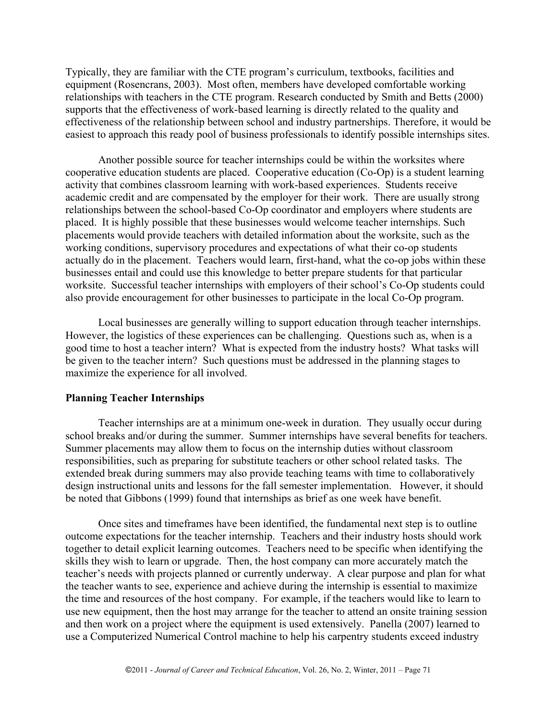Typically, they are familiar with the CTE program's curriculum, textbooks, facilities and equipment (Rosencrans, 2003). Most often, members have developed comfortable working relationships with teachers in the CTE program. Research conducted by Smith and Betts (2000) supports that the effectiveness of work-based learning is directly related to the quality and effectiveness of the relationship between school and industry partnerships. Therefore, it would be easiest to approach this ready pool of business professionals to identify possible internships sites.

Another possible source for teacher internships could be within the worksites where cooperative education students are placed. Cooperative education (Co-Op) is a student learning activity that combines classroom learning with work-based experiences. Students receive academic credit and are compensated by the employer for their work. There are usually strong relationships between the school-based Co-Op coordinator and employers where students are placed. It is highly possible that these businesses would welcome teacher internships. Such placements would provide teachers with detailed information about the worksite, such as the working conditions, supervisory procedures and expectations of what their co-op students actually do in the placement. Teachers would learn, first-hand, what the co-op jobs within these businesses entail and could use this knowledge to better prepare students for that particular worksite. Successful teacher internships with employers of their school's Co-Op students could also provide encouragement for other businesses to participate in the local Co-Op program.

Local businesses are generally willing to support education through teacher internships. However, the logistics of these experiences can be challenging. Questions such as, when is a good time to host a teacher intern? What is expected from the industry hosts? What tasks will be given to the teacher intern? Such questions must be addressed in the planning stages to maximize the experience for all involved.

#### **Planning Teacher Internships**

Teacher internships are at a minimum one-week in duration. They usually occur during school breaks and/or during the summer. Summer internships have several benefits for teachers. Summer placements may allow them to focus on the internship duties without classroom responsibilities, such as preparing for substitute teachers or other school related tasks. The extended break during summers may also provide teaching teams with time to collaboratively design instructional units and lessons for the fall semester implementation. However, it should be noted that Gibbons (1999) found that internships as brief as one week have benefit.

Once sites and timeframes have been identified, the fundamental next step is to outline outcome expectations for the teacher internship. Teachers and their industry hosts should work together to detail explicit learning outcomes. Teachers need to be specific when identifying the skills they wish to learn or upgrade. Then, the host company can more accurately match the teacher's needs with projects planned or currently underway. A clear purpose and plan for what the teacher wants to see, experience and achieve during the internship is essential to maximize the time and resources of the host company. For example, if the teachers would like to learn to use new equipment, then the host may arrange for the teacher to attend an onsite training session and then work on a project where the equipment is used extensively. Panella (2007) learned to use a Computerized Numerical Control machine to help his carpentry students exceed industry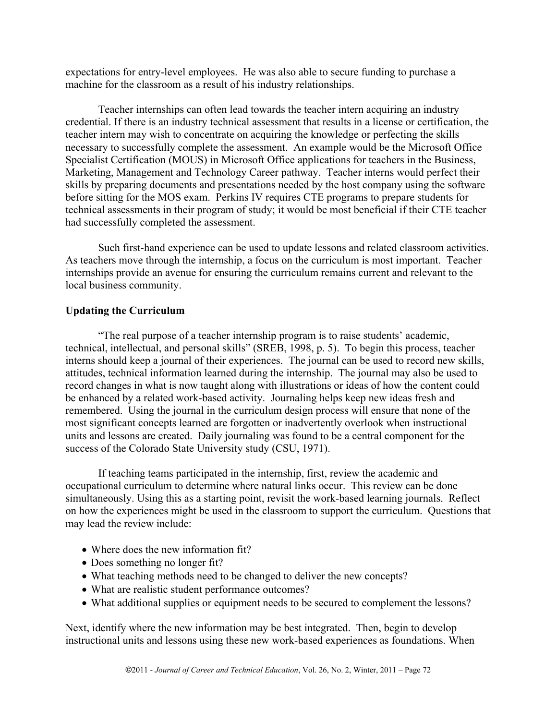expectations for entry-level employees. He was also able to secure funding to purchase a machine for the classroom as a result of his industry relationships.

Teacher internships can often lead towards the teacher intern acquiring an industry credential. If there is an industry technical assessment that results in a license or certification, the teacher intern may wish to concentrate on acquiring the knowledge or perfecting the skills necessary to successfully complete the assessment. An example would be the Microsoft Office Specialist Certification (MOUS) in Microsoft Office applications for teachers in the Business, Marketing, Management and Technology Career pathway. Teacher interns would perfect their skills by preparing documents and presentations needed by the host company using the software before sitting for the MOS exam. Perkins IV requires CTE programs to prepare students for technical assessments in their program of study; it would be most beneficial if their CTE teacher had successfully completed the assessment.

Such first-hand experience can be used to update lessons and related classroom activities. As teachers move through the internship, a focus on the curriculum is most important. Teacher internships provide an avenue for ensuring the curriculum remains current and relevant to the local business community.

## **Updating the Curriculum**

"The real purpose of a teacher internship program is to raise students' academic, technical, intellectual, and personal skills" (SREB, 1998, p. 5). To begin this process, teacher interns should keep a journal of their experiences. The journal can be used to record new skills, attitudes, technical information learned during the internship. The journal may also be used to record changes in what is now taught along with illustrations or ideas of how the content could be enhanced by a related work-based activity. Journaling helps keep new ideas fresh and remembered. Using the journal in the curriculum design process will ensure that none of the most significant concepts learned are forgotten or inadvertently overlook when instructional units and lessons are created. Daily journaling was found to be a central component for the success of the Colorado State University study (CSU, 1971).

If teaching teams participated in the internship, first, review the academic and occupational curriculum to determine where natural links occur. This review can be done simultaneously. Using this as a starting point, revisit the work-based learning journals. Reflect on how the experiences might be used in the classroom to support the curriculum. Questions that may lead the review include:

- Where does the new information fit?
- Does something no longer fit?
- What teaching methods need to be changed to deliver the new concepts?
- What are realistic student performance outcomes?
- What additional supplies or equipment needs to be secured to complement the lessons?

Next, identify where the new information may be best integrated. Then, begin to develop instructional units and lessons using these new work-based experiences as foundations. When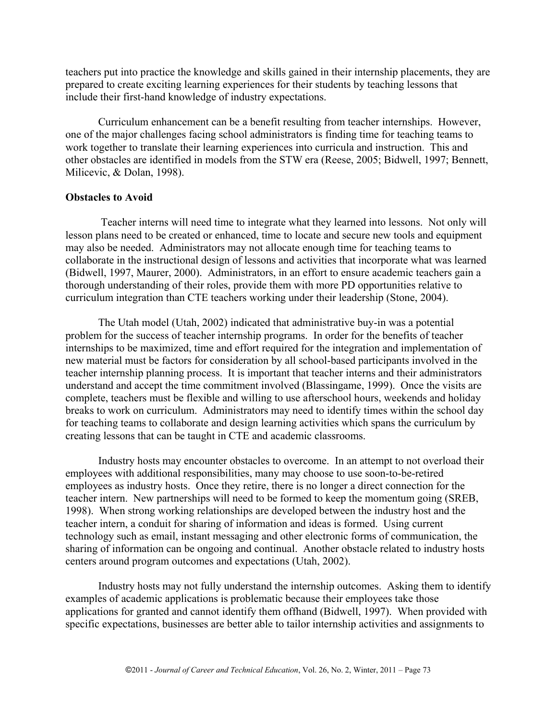teachers put into practice the knowledge and skills gained in their internship placements, they are prepared to create exciting learning experiences for their students by teaching lessons that include their first-hand knowledge of industry expectations.

Curriculum enhancement can be a benefit resulting from teacher internships. However, one of the major challenges facing school administrators is finding time for teaching teams to work together to translate their learning experiences into curricula and instruction. This and other obstacles are identified in models from the STW era (Reese, 2005; Bidwell, 1997; Bennett, Milicevic, & Dolan, 1998).

#### **Obstacles to Avoid**

Teacher interns will need time to integrate what they learned into lessons. Not only will lesson plans need to be created or enhanced, time to locate and secure new tools and equipment may also be needed. Administrators may not allocate enough time for teaching teams to collaborate in the instructional design of lessons and activities that incorporate what was learned (Bidwell, 1997, Maurer, 2000). Administrators, in an effort to ensure academic teachers gain a thorough understanding of their roles, provide them with more PD opportunities relative to curriculum integration than CTE teachers working under their leadership (Stone, 2004).

The Utah model (Utah, 2002) indicated that administrative buy-in was a potential problem for the success of teacher internship programs. In order for the benefits of teacher internships to be maximized, time and effort required for the integration and implementation of new material must be factors for consideration by all school-based participants involved in the teacher internship planning process. It is important that teacher interns and their administrators understand and accept the time commitment involved (Blassingame, 1999). Once the visits are complete, teachers must be flexible and willing to use afterschool hours, weekends and holiday breaks to work on curriculum. Administrators may need to identify times within the school day for teaching teams to collaborate and design learning activities which spans the curriculum by creating lessons that can be taught in CTE and academic classrooms.

Industry hosts may encounter obstacles to overcome. In an attempt to not overload their employees with additional responsibilities, many may choose to use soon-to-be-retired employees as industry hosts. Once they retire, there is no longer a direct connection for the teacher intern. New partnerships will need to be formed to keep the momentum going (SREB, 1998). When strong working relationships are developed between the industry host and the teacher intern, a conduit for sharing of information and ideas is formed. Using current technology such as email, instant messaging and other electronic forms of communication, the sharing of information can be ongoing and continual. Another obstacle related to industry hosts centers around program outcomes and expectations (Utah, 2002).

Industry hosts may not fully understand the internship outcomes. Asking them to identify examples of academic applications is problematic because their employees take those applications for granted and cannot identify them offhand (Bidwell, 1997). When provided with specific expectations, businesses are better able to tailor internship activities and assignments to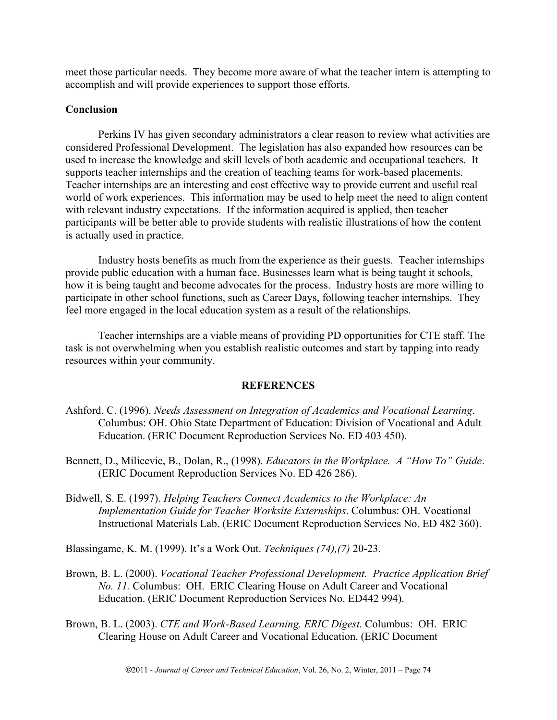meet those particular needs. They become more aware of what the teacher intern is attempting to accomplish and will provide experiences to support those efforts.

# **Conclusion**

Perkins IV has given secondary administrators a clear reason to review what activities are considered Professional Development. The legislation has also expanded how resources can be used to increase the knowledge and skill levels of both academic and occupational teachers. It supports teacher internships and the creation of teaching teams for work-based placements. Teacher internships are an interesting and cost effective way to provide current and useful real world of work experiences. This information may be used to help meet the need to align content with relevant industry expectations. If the information acquired is applied, then teacher participants will be better able to provide students with realistic illustrations of how the content is actually used in practice.

Industry hosts benefits as much from the experience as their guests. Teacher internships provide public education with a human face. Businesses learn what is being taught it schools, how it is being taught and become advocates for the process. Industry hosts are more willing to participate in other school functions, such as Career Days, following teacher internships. They feel more engaged in the local education system as a result of the relationships.

Teacher internships are a viable means of providing PD opportunities for CTE staff. The task is not overwhelming when you establish realistic outcomes and start by tapping into ready resources within your community.

## **REFERENCES**

- Ashford, C. (1996). *Needs Assessment on Integration of Academics and Vocational Learning*. Columbus: OH. Ohio State Department of Education: Division of Vocational and Adult Education. (ERIC Document Reproduction Services No. ED 403 450).
- Bennett, D., Milicevic, B., Dolan, R., (1998). *Educators in the Workplace. A "How To" Guide*. (ERIC Document Reproduction Services No. ED 426 286).
- Bidwell, S. E. (1997). *Helping Teachers Connect Academics to the Workplace: An Implementation Guide for Teacher Worksite Externships*. Columbus: OH. Vocational Instructional Materials Lab. (ERIC Document Reproduction Services No. ED 482 360).

Blassingame, K. M. (1999). It's a Work Out. *Techniques (74),(7)* 20-23.

- Brown, B. L. (2000). *Vocational Teacher Professional Development. Practice Application Brief No. 11.* Columbus: OH. ERIC Clearing House on Adult Career and Vocational Education. (ERIC Document Reproduction Services No. ED442 994).
- Brown, B. L. (2003). *CTE and Work-Based Learning. ERIC Digest.* Columbus: OH. ERIC Clearing House on Adult Career and Vocational Education. (ERIC Document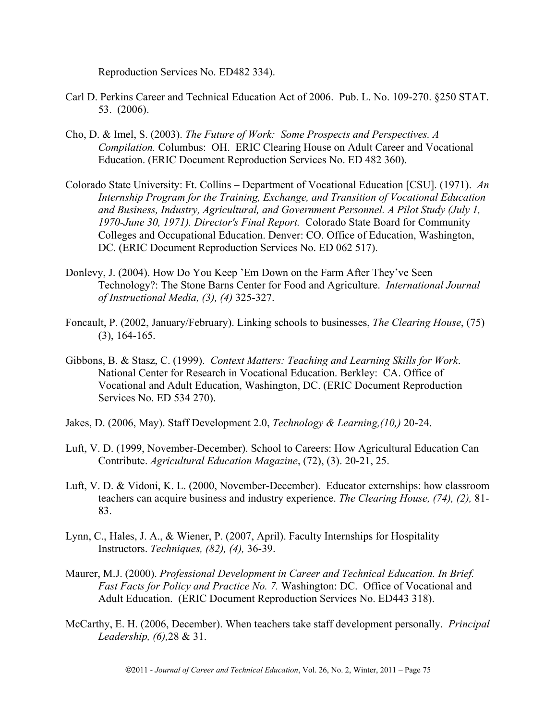Reproduction Services No. ED482 334).

- Carl D. Perkins Career and Technical Education Act of 2006. Pub. L. No. 109-270. §250 STAT. 53. (2006).
- Cho, D. & Imel, S. (2003). *The Future of Work: Some Prospects and Perspectives. A Compilation.* Columbus: OH. ERIC Clearing House on Adult Career and Vocational Education. (ERIC Document Reproduction Services No. ED 482 360).
- Colorado State University: Ft. Collins Department of Vocational Education [CSU]. (1971). *An Internship Program for the Training, Exchange, and Transition of Vocational Education and Business, Industry, Agricultural, and Government Personnel. A Pilot Study (July 1, 1970-June 30, 1971). Director's Final Report.* Colorado State Board for Community Colleges and Occupational Education. Denver: CO. Office of Education, Washington, DC. (ERIC Document Reproduction Services No. ED 062 517).
- Donlevy, J. (2004). How Do You Keep 'Em Down on the Farm After They've Seen Technology?: The Stone Barns Center for Food and Agriculture. *International Journal of Instructional Media, (3), (4)* 325-327.
- Foncault, P. (2002, January/February). Linking schools to businesses, *The Clearing House*, (75) (3), 164-165.
- Gibbons, B. & Stasz, C. (1999). *Context Matters: Teaching and Learning Skills for Work*. National Center for Research in Vocational Education. Berkley: CA. Office of Vocational and Adult Education, Washington, DC. (ERIC Document Reproduction Services No. ED 534 270).
- Jakes, D. (2006, May). Staff Development 2.0, *Technology & Learning,(10,)* 20-24.
- Luft, V. D. (1999, November-December). School to Careers: How Agricultural Education Can Contribute. *Agricultural Education Magazine*, (72), (3). 20-21, 25.
- Luft, V. D. & Vidoni, K. L. (2000, November-December). Educator externships: how classroom teachers can acquire business and industry experience. *The Clearing House, (74), (2),* 81- 83.
- Lynn, C., Hales, J. A., & Wiener, P. (2007, April). Faculty Internships for Hospitality Instructors. *Techniques, (82), (4),* 36-39.
- Maurer, M.J. (2000). *Professional Development in Career and Technical Education. In Brief. Fast Facts for Policy and Practice No. 7.* Washington: DC. Office of Vocational and Adult Education. (ERIC Document Reproduction Services No. ED443 318).
- McCarthy, E. H. (2006, December). When teachers take staff development personally. *Principal Leadership, (6),*28 & 31.